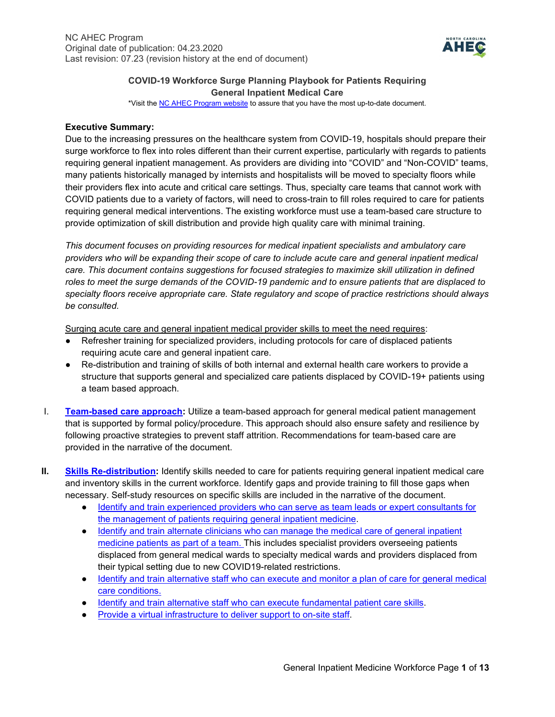

# **COVID-19 Workforce Surge Planning Playbook for Patients Requiring General Inpatient Medical Care**

\*Visit th[e NC AHEC Program website](https://www.ncahec.net/covid-19/training-and-literature-for-health-care-professionals/workforce-surge-planning-playbooks/) to assure that you have the most up-to-date document.

### **Executive Summary:**

Due to the increasing pressures on the healthcare system from COVID-19, hospitals should prepare their surge workforce to flex into roles different than their current expertise, particularly with regards to patients requiring general inpatient management. As providers are dividing into "COVID" and "Non-COVID" teams, many patients historically managed by internists and hospitalists will be moved to specialty floors while their providers flex into acute and critical care settings. Thus, specialty care teams that cannot work with COVID patients due to a variety of factors, will need to cross-train to fill roles required to care for patients requiring general medical interventions. The existing workforce must use a team-based care structure to provide optimization of skill distribution and provide high quality care with minimal training.

*This document focuses on providing resources for medical inpatient specialists and ambulatory care providers who will be expanding their scope of care to include acute care and general inpatient medical care. This document contains suggestions for focused strategies to maximize skill utilization in defined roles to meet the surge demands of the COVID-19 pandemic and to ensure patients that are displaced to specialty floors receive appropriate care. State regulatory and scope of practice restrictions should always be consulted.*

Surging acute care and general inpatient medical provider skills to meet the need requires:

- Refresher training for specialized providers, including protocols for care of displaced patients requiring acute care and general inpatient care.
- Re-distribution and training of skills of both internal and external health care workers to provide a structure that supports general and specialized care patients displaced by COVID-19+ patients using a team based approach.
- I. **[Team-based care](#page-1-0) approach:** Utilize a team-based approach for general medical patient management that is supported by formal policy/procedure. This approach should also ensure safety and resilience by following proactive strategies to prevent staff attrition. Recommendations for team-based care are provided in the narrative of the document.
- **II. [Skills Re-distribution:](#page-4-0)** Identify skills needed to care for patients requiring general inpatient medical care and inventory skills in the current workforce. Identify gaps and provide training to fill those gaps when necessary. Self-study resources on specific skills are included in the narrative of the document.
	- [Identify and train experienced providers who can serve as team leads or expert consultants for](#page-4-1)  [the management of patients requiring general inpatient medicine.](#page-4-1)
	- Identify and train alternate clinicians who can manage the medical care of general inpatient [medicine patients as part of a team. T](#page-5-0)his includes specialist providers overseeing patients displaced from general medical wards to specialty medical wards and providers displaced from their typical setting due to new COVID19-related restrictions.
	- Identify and train alternative staff who can execute and monitor a plan of care for general medical [care conditions.](#page-5-0)
	- [Identify and train alternative staff who can execute fundamental patient care skills.](#page-9-0)
	- [Provide a virtual infrastructure to deliver support to on-site staff.](#page-11-0)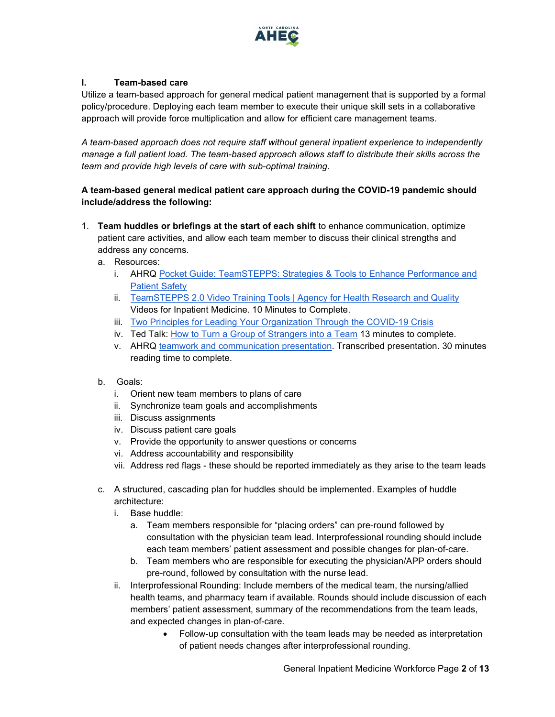

## <span id="page-1-0"></span>**I. Team-based care**

Utilize a team-based approach for general medical patient management that is supported by a formal policy/procedure. Deploying each team member to execute their unique skill sets in a collaborative approach will provide force multiplication and allow for efficient care management teams.

*A team-based approach does not require staff without general inpatient experience to independently manage a full patient load. The team-based approach allows staff to distribute their skills across the team and provide high levels of care with sub-optimal training.* 

## **A team-based general medical patient care approach during the COVID-19 pandemic should include/address the following:**

- 1. **Team huddles or briefings at the start of each shift** to enhance communication, optimize patient care activities, and allow each team member to discuss their clinical strengths and address any concerns.
	- a. Resources:
		- i. AHRQ Pocket Guide: TeamSTEPPS: Strategies & Tools to Enhance Performance and [Patient Safety](https://www.ahrq.gov/sites/default/files/wysiwyg/professionals/education/curriculum-tools/teamstepps/instructor/essentials/pocketguide.pdf)
		- ii. [TeamSTEPPS 2.0 Video Training Tools | Agency for Health Research and Quality](https://www.ahrq.gov/teamstepps/instructor/videos/index.html) Videos for Inpatient Medicine. 10 Minutes to Complete.
		- iii. [Two Principles for Leading Your Organization Through the COVID-19 Crisis](https://insight.kellogg.northwestern.edu/article/two-principles-leading-organization-covid-19-crisis)
		- iv. Ted Talk: [How to Turn a Group of Strangers into a Team](https://www.ted.com/talks/amy_edmondson_how_to_turn_a_group_of_strangers_into_a_team) 13 minutes to complete.
		- v. AHRQ [teamwork and communication presentation.](https://www.ahrq.gov/hai/quality/tools/cauti-ltc/modules/implementation/long-term-modules/module4/mod4-facguide.html) Transcribed presentation. 30 minutes reading time to complete.
	- b. Goals:
		- i. Orient new team members to plans of care
		- ii. Synchronize team goals and accomplishments
		- iii. Discuss assignments
		- iv. Discuss patient care goals
		- v. Provide the opportunity to answer questions or concerns
		- vi. Address accountability and responsibility
		- vii. Address red flags these should be reported immediately as they arise to the team leads
	- c. A structured, cascading plan for huddles should be implemented. Examples of huddle architecture:
		- i. Base huddle:
			- a. Team members responsible for "placing orders" can pre-round followed by consultation with the physician team lead. Interprofessional rounding should include each team members' patient assessment and possible changes for plan-of-care.
			- b. Team members who are responsible for executing the physician/APP orders should pre-round, followed by consultation with the nurse lead.
		- ii. Interprofessional Rounding: Include members of the medical team, the nursing/allied health teams, and pharmacy team if available. Rounds should include discussion of each members' patient assessment, summary of the recommendations from the team leads, and expected changes in plan-of-care.
			- Follow-up consultation with the team leads may be needed as interpretation of patient needs changes after interprofessional rounding.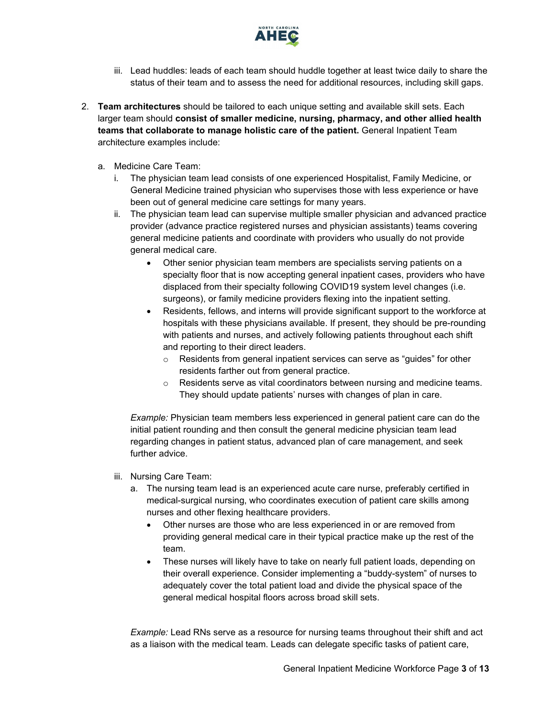

- iii. Lead huddles: leads of each team should huddle together at least twice daily to share the status of their team and to assess the need for additional resources, including skill gaps.
- 2. **Team architectures** should be tailored to each unique setting and available skill sets. Each larger team should **consist of smaller medicine, nursing, pharmacy, and other allied health teams that collaborate to manage holistic care of the patient.** General Inpatient Team architecture examples include:
	- a. Medicine Care Team:
		- i. The physician team lead consists of one experienced Hospitalist, Family Medicine, or General Medicine trained physician who supervises those with less experience or have been out of general medicine care settings for many years.
		- ii. The physician team lead can supervise multiple smaller physician and advanced practice provider (advance practice registered nurses and physician assistants) teams covering general medicine patients and coordinate with providers who usually do not provide general medical care.
			- Other senior physician team members are specialists serving patients on a specialty floor that is now accepting general inpatient cases, providers who have displaced from their specialty following COVID19 system level changes (i.e. surgeons), or family medicine providers flexing into the inpatient setting.
			- Residents, fellows, and interns will provide significant support to the workforce at hospitals with these physicians available. If present, they should be pre-rounding with patients and nurses, and actively following patients throughout each shift and reporting to their direct leaders.
				- o Residents from general inpatient services can serve as "guides" for other residents farther out from general practice.
				- $\circ$  Residents serve as vital coordinators between nursing and medicine teams. They should update patients' nurses with changes of plan in care.

*Example:* Physician team members less experienced in general patient care can do the initial patient rounding and then consult the general medicine physician team lead regarding changes in patient status, advanced plan of care management, and seek further advice.

- iii. Nursing Care Team:
	- a. The nursing team lead is an experienced acute care nurse, preferably certified in medical-surgical nursing, who coordinates execution of patient care skills among nurses and other flexing healthcare providers.
		- Other nurses are those who are less experienced in or are removed from providing general medical care in their typical practice make up the rest of the team.
		- These nurses will likely have to take on nearly full patient loads, depending on their overall experience. Consider implementing a "buddy-system" of nurses to adequately cover the total patient load and divide the physical space of the general medical hospital floors across broad skill sets.

*Example:* Lead RNs serve as a resource for nursing teams throughout their shift and act as a liaison with the medical team. Leads can delegate specific tasks of patient care,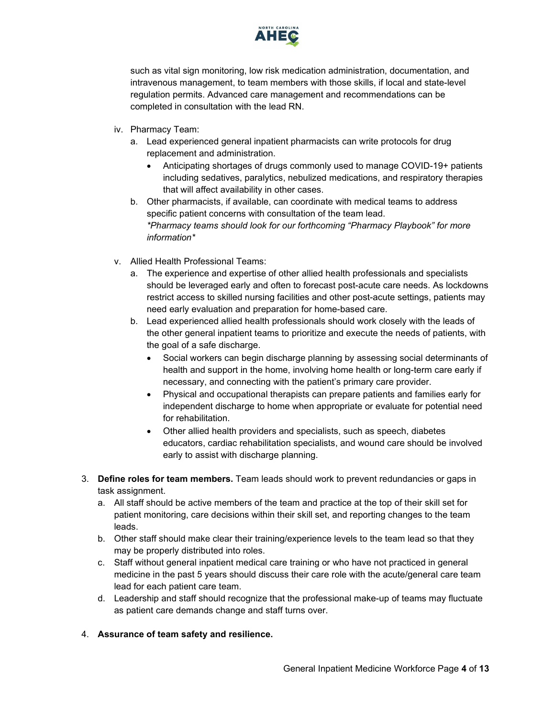

such as vital sign monitoring, low risk medication administration, documentation, and intravenous management, to team members with those skills, if local and state-level regulation permits. Advanced care management and recommendations can be completed in consultation with the lead RN.

- iv. Pharmacy Team:
	- a. Lead experienced general inpatient pharmacists can write protocols for drug replacement and administration.
		- Anticipating shortages of drugs commonly used to manage COVID-19+ patients including sedatives, paralytics, nebulized medications, and respiratory therapies that will affect availability in other cases.
	- b. Other pharmacists, if available, can coordinate with medical teams to address specific patient concerns with consultation of the team lead. *\*Pharmacy teams should look for our forthcoming "Pharmacy Playbook" for more information\**
- v. Allied Health Professional Teams:
	- a. The experience and expertise of other allied health professionals and specialists should be leveraged early and often to forecast post-acute care needs. As lockdowns restrict access to skilled nursing facilities and other post-acute settings, patients may need early evaluation and preparation for home-based care.
	- b. Lead experienced allied health professionals should work closely with the leads of the other general inpatient teams to prioritize and execute the needs of patients, with the goal of a safe discharge.
		- Social workers can begin discharge planning by assessing social determinants of health and support in the home, involving home health or long-term care early if necessary, and connecting with the patient's primary care provider.
		- Physical and occupational therapists can prepare patients and families early for independent discharge to home when appropriate or evaluate for potential need for rehabilitation.
		- Other allied health providers and specialists, such as speech, diabetes educators, cardiac rehabilitation specialists, and wound care should be involved early to assist with discharge planning.
- 3. **Define roles for team members.** Team leads should work to prevent redundancies or gaps in task assignment.
	- a. All staff should be active members of the team and practice at the top of their skill set for patient monitoring, care decisions within their skill set, and reporting changes to the team leads.
	- b. Other staff should make clear their training/experience levels to the team lead so that they may be properly distributed into roles.
	- c. Staff without general inpatient medical care training or who have not practiced in general medicine in the past 5 years should discuss their care role with the acute/general care team lead for each patient care team.
	- d. Leadership and staff should recognize that the professional make-up of teams may fluctuate as patient care demands change and staff turns over.
- 4. **Assurance of team safety and resilience.**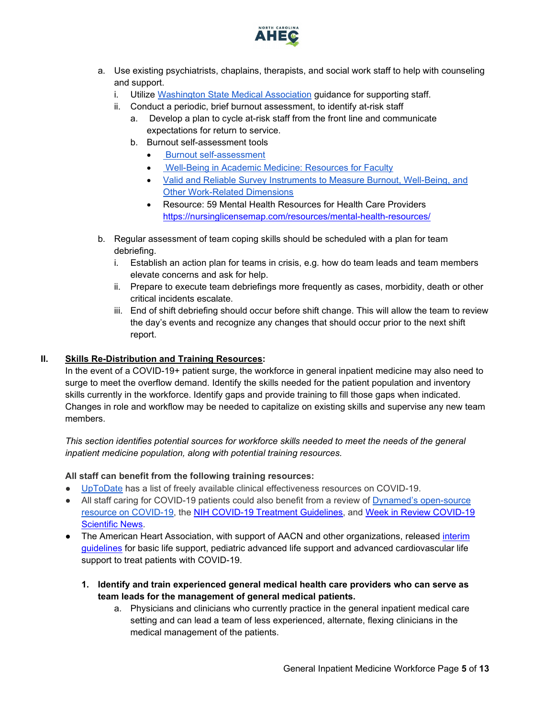

- a. Use existing psychiatrists, chaplains, therapists, and social work staff to help with counseling and support.
	- i. Utilize [Washington State Medical Association](https://wsma.org/WSMA/Resources/COVID-19/Care_for_the_Caregiver_During_COVID-19_Outbreak/care_for_the_caregiver_during_covid_19_outbreak.aspx) guidance for supporting staff.
	- ii. Conduct a periodic, brief burnout assessment, to identify at-risk staff
		- a. Develop a plan to cycle at-risk staff from the front line and communicate expectations for return to service.
		- b. Burnout self-assessment tools
			- [Burnout self-assessment](https://wellmd.stanford.edu/test-yourself.html)
			- [Well-Being in Academic Medicine: Resources for Faculty](https://www.aamc.org/news-insights/wellbeing/faculty)
			- [Valid and Reliable Survey Instruments to Measure Burnout, Well-Being, and](https://nam.edu/valid-reliable-survey-instruments-measure-burnout-well-work-related-dimensions/)  [Other Work-Related Dimensions](https://nam.edu/valid-reliable-survey-instruments-measure-burnout-well-work-related-dimensions/)
			- Resource: 59 Mental Health Resources for Health Care Providers <https://nursinglicensemap.com/resources/mental-health-resources/>
- b. Regular assessment of team coping skills should be scheduled with a plan for team debriefing.
	- i. Establish an action plan for teams in crisis, e.g. how do team leads and team members elevate concerns and ask for help.
	- ii. Prepare to execute team debriefings more frequently as cases, morbidity, death or other critical incidents escalate.
	- iii. End of shift debriefing should occur before shift change. This will allow the team to review the day's events and recognize any changes that should occur prior to the next shift report.

#### **II. Skills Re-Distribution and Training Resources:**

<span id="page-4-0"></span>In the event of a COVID-19+ patient surge, the workforce in general inpatient medicine may also need to surge to meet the overflow demand. Identify the skills needed for the patient population and inventory skills currently in the workforce. Identify gaps and provide training to fill those gaps when indicated. Changes in role and workflow may be needed to capitalize on existing skills and supervise any new team members.

*This section identifies potential sources for workforce skills needed to meet the needs of the general inpatient medicine population, along with potential training resources.*

#### **All staff can benefit from the following training resources:**

- [UpToDate](https://www.uptodate.com/home/covid-19-access) has a list of freely available clinical effectiveness resources on COVID-19.
- All staff caring for COVID-19 patients could also benefit from a review of Dynamed's open-source [resource on COVID-19,](https://www.dynamed.com/condition/covid-19-novel-coronavirus#GUID-5EDD59BC-2C0D-412E-8DAB-3F3D214D7406) the [NIH COVID-19 Treatment Guidelines,](https://covid19treatmentguidelines.nih.gov/) and [Week in Review COVID-19](https://www.ncahec.net/covid-19/training-and-literature-for-health-care-professionals/)  [Scientific News.](https://www.ncahec.net/covid-19/training-and-literature-for-health-care-professionals/)
- <span id="page-4-1"></span>• The American Heart Association, with support of AACN and other organizations, released interim [guidelines](https://www.ahajournals.org/doi/10.1161/CIRCULATIONAHA.120.047463) [for basic life support, pediatric advanced life support and advanced cardiovascular life](https://www.ahajournals.org/doi/10.1161/CIRCULATIONAHA.120.047463)  [support to treat patients with COVID-19.](https://www.ahajournals.org/doi/10.1161/CIRCULATIONAHA.120.047463)
	- **1. Identify and train experienced general medical health care providers who can serve as team leads for the management of general medical patients.** 
		- a. Physicians and clinicians who currently practice in the general inpatient medical care setting and can lead a team of less experienced, alternate, flexing clinicians in the medical management of the patients.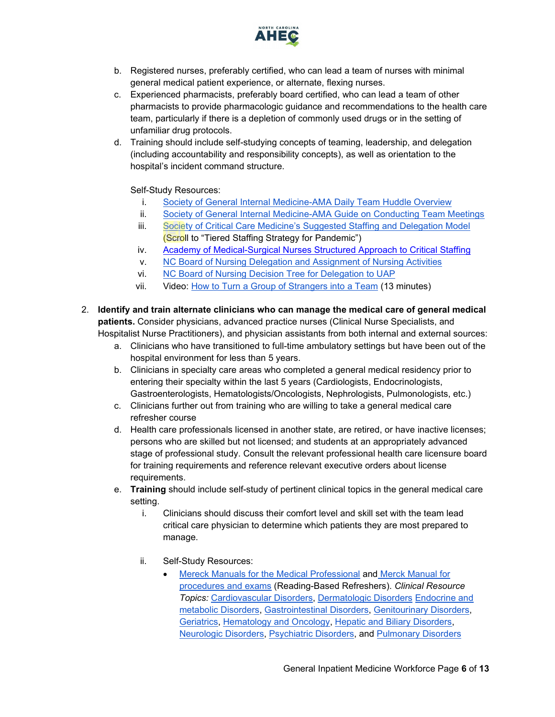

- b. Registered nurses, preferably certified, who can lead a team of nurses with minimal general medical patient experience, or alternate, flexing nurses.
- c. Experienced pharmacists, preferably board certified, who can lead a team of other pharmacists to provide pharmacologic guidance and recommendations to the health care team, particularly if there is a depletion of commonly used drugs or in the setting of unfamiliar drug protocols.
- d. Training should include self-studying concepts of teaming, leadership, and delegation (including accountability and responsibility concepts), as well as orientation to the hospital's incident command structure.

Self-Study Resources:

- i. [Society of General Internal Medicine-AMA Daily Team Huddle Overview](https://edhub.ama-assn.org/steps-forward/module/2702506)
- ii. [Society of General Internal Medicine-AMA Guide on Conducting Team Meetings](https://edhub.ama-assn.org/steps-forward/module/2702508)
- iii. [Society of Critical Care Medicine's Suggested Staffing and Delegation Model](https://sccm.org/Blog/March-2020/United-States-Resource-Availability-for-COVID-19?_zs=jxpjd1&_zl=w9pb6) (Scroll to "Tiered Staffing Strategy for Pandemic")
- iv. Academy of Medical-Surgical Nurses [Structured Approach to Critical Staffing](https://www.amsnstaffingtoolkit.org/staffing-model?utm_campaign=ecd68526-d0e7-43bc-b923-1cceb25cbed7&utm_source=so&utm_medium=mail&cid=703b62d4-18d2-431d-8efc-7f06b64ee24b)
- v. [NC Board of Nursing Delegation and Assignment of Nursing Activities](https://www.ncbon.com/vdownloads/position-statements-decision-trees/delegation-and-assignment-of-nursing-activities.pdf)
- vi. [NC Board of Nursing Decision Tree for Delegation to UAP](https://www.ncbon.com/vdownloads/position-statements-decision-trees/decision-tree-delegation-to-uap.pdf)
- vii. Video: [How to Turn a Group of Strangers into a Team](https://www.ted.com/talks/amy_edmondson_how_to_turn_a_group_of_strangers_into_a_team) (13 minutes)
- <span id="page-5-0"></span>2. **Identify and train alternate clinicians who can manage the medical care of general medical patients.** Consider physicians, advanced practice nurses (Clinical Nurse Specialists, and Hospitalist Nurse Practitioners), and physician assistants from both internal and external sources:
	- a. Clinicians who have transitioned to full-time ambulatory settings but have been out of the hospital environment for less than 5 years.
	- b. Clinicians in specialty care areas who completed a general medical residency prior to entering their specialty within the last 5 years (Cardiologists, Endocrinologists, Gastroenterologists, Hematologists/Oncologists, Nephrologists, Pulmonologists, etc.)
	- c. Clinicians further out from training who are willing to take a general medical care refresher course
	- d. Health care professionals licensed in another state, are retired, or have inactive licenses; persons who are skilled but not licensed; and students at an appropriately advanced stage of professional study. Consult the relevant professional health care licensure board for training requirements and reference relevant executive orders about license requirements.
	- e. **Training** should include self-study of pertinent clinical topics in the general medical care setting.
		- i. Clinicians should discuss their comfort level and skill set with the team lead critical care physician to determine which patients they are most prepared to manage.
		- ii. Self-Study Resources:
			- Mereck [Manuals for the Medical Professional](https://www.merckmanuals.com/professional) and [Merck Manual for](https://www.merckmanuals.com/professional/pages-with-widgets/procedures-and-exams?mode=list)  [procedures and exams](https://www.merckmanuals.com/professional/pages-with-widgets/procedures-and-exams?mode=list) (Reading-Based Refreshers). *Clinical Resource Topics:* [Cardiovascular Disorders,](https://www.merckmanuals.com/professional/cardiovascular-disorders) [Dermatologic Disorders](https://www.merckmanuals.com/professional/dermatologic-disorders) [Endocrine and](https://www.merckmanuals.com/professional/endocrine-and-metabolic-disorders)  [metabolic Disorders,](https://www.merckmanuals.com/professional/endocrine-and-metabolic-disorders) [Gastrointestinal Disorders, Genitourinary Disorders,](https://www.merckmanuals.com/professional/gastrointestinal-disorders) [Geriatrics,](https://www.merckmanuals.com/professional/geriatrics) [Hematology and Oncology,](https://www.merckmanuals.com/professional/hematology-and-oncology) [Hepatic and Biliary Disorders,](https://www.merckmanuals.com/professional/hepatic-and-biliary-disorders) [Neurologic Disorders,](https://www.merckmanuals.com/professional/neurologic-disorders) [Psychiatric Disorders,](https://www.merckmanuals.com/professional/psychiatric-disorders) and [Pulmonary Disorders](https://www.merckmanuals.com/professional/pulmonary-disorders)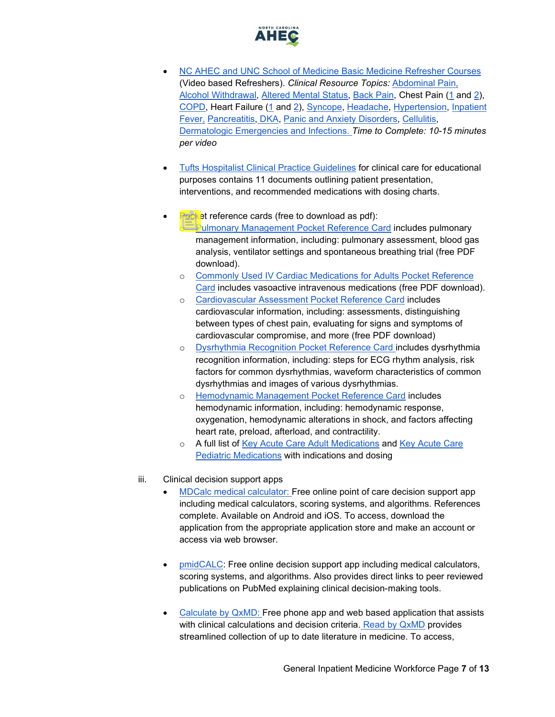

- [NC AHEC and UNC School of Medicine Basic Medicine Refresher Courses](https://www.ncahec.net/covid-19/training-and-literature-for-health-care-professionals/critical-care-skills/) (Video based Refreshers). *Clinical Resource Topics:* [Abdominal Pain,](https://www.youtube.com/watch?v=H9BDfxdLDs0&list=PLbBrVwE693Jld1yyiHmVdyv9vvlbNpC0W&index=2&t=0s) [Alcohol Withdrawal,](https://www.youtube.com/watch?v=rs-o38qM5D8&list=PLbBrVwE693Jld1yyiHmVdyv9vvlbNpC0W&index=3&t=0s) [Altered Mental Status,](https://www.youtube.com/watch?v=oLBPUvgDaqs&list=PLbBrVwE693Jld1yyiHmVdyv9vvlbNpC0W&index=4&t=0s) [Back Pain,](https://www.youtube.com/watch?v=jcNx-vcGbG4&list=PLbBrVwE693Jld1yyiHmVdyv9vvlbNpC0W&index=6&t=0s) Chest Pain [\(1](https://www.youtube.com/watch?v=C-2RybvtMUk&list=PLbBrVwE693Jld1yyiHmVdyv9vvlbNpC0W&index=22) and [2\)](https://youtu.be/QqvqVslQIBI), [COPD,](https://www.youtube.com/watch?v=yHoDI8bF0Uw&list=PLbBrVwE693Jld1yyiHmVdyv9vvlbNpC0W&index=10&t=0s) Heart Failure [\(1](https://youtu.be/Vol78zmM_uA) and [2\)](https://youtu.be/odNBjal8L5Y), [Syncope,](https://www.youtube.com/watch?v=3yzQMC_lV1c&list=PLbBrVwE693Jld1yyiHmVdyv9vvlbNpC0W&index=15&t=0s) [Headache,](https://www.youtube.com/watch?v=HiSX2eF1sJg&list=PLbBrVwE693Jld1yyiHmVdyv9vvlbNpC0W&index=12&t=0s) [Hypertension,](https://s3.amazonaws.com/aheconnect/hhn10/story_html5.html) [Inpatient](https://www.youtube.com/watch?v=etrItzpb6OU&list=PLbBrVwE693Jld1yyiHmVdyv9vvlbNpC0W&index=6)  [Fever,](https://www.youtube.com/watch?v=etrItzpb6OU&list=PLbBrVwE693Jld1yyiHmVdyv9vvlbNpC0W&index=6) [Pancreatitis,](https://www.youtube.com/watch?v=A4_c0cW3q4Q&list=PLbBrVwE693Jld1yyiHmVdyv9vvlbNpC0W&index=16&t=0s) [DKA,](https://www.youtube.com/watch?v=ba0Iv21Bqnc&list=PLbBrVwE693Jld1yyiHmVdyv9vvlbNpC0W&index=19&t=0s) [Panic and Anxiety Disorders,](https://www.youtube.com/watch?v=BKRESLx89A0&list=PLbBrVwE693Jld1yyiHmVdyv9vvlbNpC0W&index=5&t=0s) [Cellulitis,](https://www.youtube.com/watch?v=Wh1wN5CHDSc&list=PLbBrVwE693Jld1yyiHmVdyv9vvlbNpC0W&index=8&t=0s) [Dermatologic Emergencies and Infections.](https://www.youtube.com/watch?v=Xa13FJWR54w&list=PLbBrVwE693Jld1yyiHmVdyv9vvlbNpC0W&index=17&t=0s) *Time to Complete: 10-15 minutes per video*
- [Tufts Hospitalist Clinical Practice Guidelines](https://www.floatinghospital.org/patient-care-services/departments-and-services/hospital-medicine/hospitalist-guidelines) for clinical care for educational purposes contains 11 documents outlining patient presentation, interventions, and recommended medications with dosing charts.
- <span id="page-6-0"></span>• Pocket reference cards (free to download as pdf):
	- o [Pulmonary Management Pocket Reference Card](https://www.aacn.org/store/books/400857/aacn-pulmonary-management-pocket-reference-card) includes pulmonary management information, including: pulmonary assessment, blood gas analysis, ventilator settings and spontaneous breathing trial (free PDF download).
	- o [Commonly Used IV Cardiac Medications for Adults Pocket Reference](https://www.aacn.org/store/books/400820/aacn-commonly-used-iv-cardiac-medications-for-adults-pocket-reference-card)  [Card](https://www.aacn.org/store/books/400820/aacn-commonly-used-iv-cardiac-medications-for-adults-pocket-reference-card) includes vasoactive intravenous medications (free PDF download).
	- o [Cardiovascular Assessment Pocket Reference Card](https://www.aacn.org/store/books/400855/aacn-cardiovascular-assessment-pocket-reference-card) includes cardiovascular information, including: assessments, distinguishing between types of chest pain, evaluating for signs and symptoms of cardiovascular compromise, and more (free PDF download)
	- o [Dysrhythmia Recognition Pocket Reference Card](https://www.aacn.org/store/books/400758/aacn-dysrhythmia-recognition-pocket-reference-card) [in](https://www.aacn.org/store/books/400758/aacn-dysrhythmia-recognition-pocket-reference-card)cludes dysrhythmia recognition information, including: steps for ECG rhythm analysis, risk factors for common dysrhythmias, waveform characteristics of common dysrhythmias and images of various dysrhythmias.
	- o [Hemodynamic Management Pocket Reference Card](https://www.aacn.org/store/books/400751/aacn-hemodynamic-management-pocket-reference-card) includes hemodynamic information, including: hemodynamic response, oxygenation, hemodynamic alterations in shock, and factors affecting heart rate, preload, afterload, and contractility.
	- o A full list of [Key Acute Care Adult Medications](https://chemm.nlm.nih.gov/adultmedications.htm) and Key Acute Care [Pediatric Medications](https://chemm.nlm.nih.gov/pediatricmedications.htm) with indications and dosing
- <span id="page-6-1"></span>iii. Clinical decision support apps
	- [MDCalc medical calculator:](https://www.mdcalc.com/) Free online point of care decision support app including medical calculators, scoring systems, and algorithms. References complete. Available on Android and iOS. To access, download the application from the appropriate application store and make an account or access via web browser.
	- [pmidCALC:](http://www.pmidcalc.org/en/) Free online decision support app including medical calculators, scoring systems, and algorithms. Also provides direct links to peer reviewed publications on PubMed explaining clinical decision-making tools.
	- [Calculate by QxMD:](https://qxmd.com/calculate/) Free phone app and web based application that assists with clinical calculations and decision criteria. [Read by QxMD](https://read.qxmd.com/) provides streamlined collection of up to date literature in medicine. To access,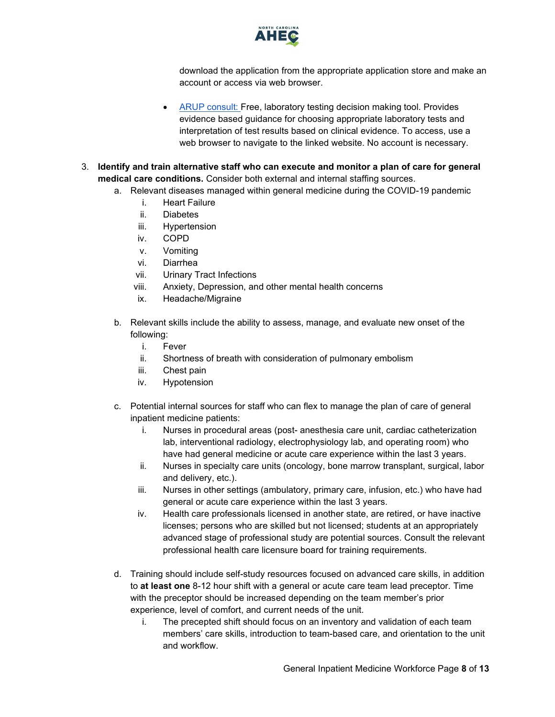

download the application from the appropriate application store and make an account or access via web browser.

- [ARUP consult:](https://arupconsult.com/) Free, laboratory testing decision making tool. Provides evidence based guidance for choosing appropriate laboratory tests and interpretation of test results based on clinical evidence. To access, use a web browser to navigate to the linked website. No account is necessary.
- <span id="page-7-0"></span>3. **Identify and train alternative staff who can execute and monitor a plan of care for general medical care conditions.** Consider both external and internal staffing sources.
	- a. Relevant diseases managed within general medicine during the COVID-19 pandemic
		- i. Heart Failure
		- ii. Diabetes
		- iii. Hypertension
		- iv. COPD
		- v. Vomiting
		- vi. Diarrhea
		- vii. Urinary Tract Infections
		- viii. Anxiety, Depression, and other mental health concerns
		- ix. Headache/Migraine
	- b. Relevant skills include the ability to assess, manage, and evaluate new onset of the following:
		- i. Fever
		- ii. Shortness of breath with consideration of pulmonary embolism
		- iii. Chest pain
		- iv. Hypotension
	- c. Potential internal sources for staff who can flex to manage the plan of care of general inpatient medicine patients:
		- i. Nurses in procedural areas (post- anesthesia care unit, cardiac catheterization lab, interventional radiology, electrophysiology lab, and operating room) who have had general medicine or acute care experience within the last 3 years.
		- ii. Nurses in specialty care units (oncology, bone marrow transplant, surgical, labor and delivery, etc.).
		- iii. Nurses in other settings (ambulatory, primary care, infusion, etc.) who have had general or acute care experience within the last 3 years.
		- iv. Health care professionals licensed in another state, are retired, or have inactive licenses; persons who are skilled but not licensed; students at an appropriately advanced stage of professional study are potential sources. Consult the relevant professional health care licensure board for training requirements.
	- d. Training should include self-study resources focused on advanced care skills, in addition to **at least one** 8-12 hour shift with a general or acute care team lead preceptor. Time with the preceptor should be increased depending on the team member's prior experience, level of comfort, and current needs of the unit.
		- i. The precepted shift should focus on an inventory and validation of each team members' care skills, introduction to team-based care, and orientation to the unit and workflow.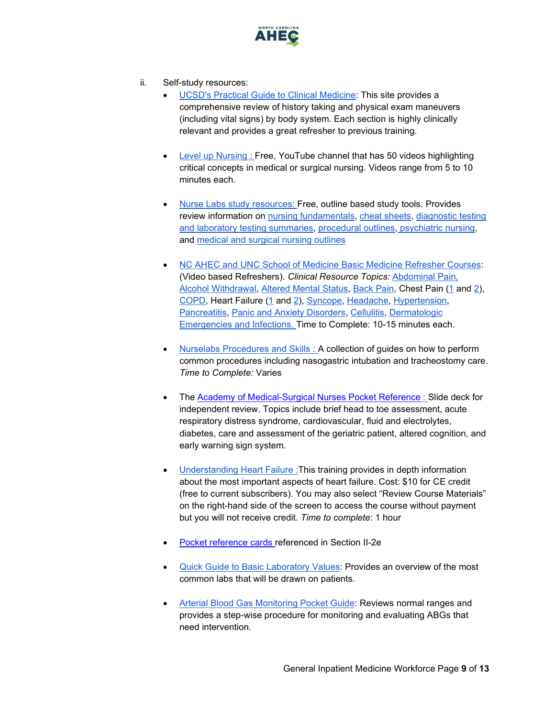

- ii. Self-study resources:
	- [UCSD's Practical Guide to Clinical Medicine:](https://meded.ucsd.edu/clinicalmed/introduction.htm) This site provides a comprehensive review of history taking and physical exam maneuvers (including vital signs) by body system. Each section is highly clinically relevant and provides a great refresher to previous training.
	- [Level up Nursing](https://www.youtube.com/playlist?list=PLj9YgcGzjQqwZDXnJw_S3kJg51RI6y2WG) : Free, YouTube channel that has 50 videos highlighting critical concepts in medical or surgical nursing. Videos range from 5 to 10 minutes each.
	- [Nurse Labs study resources:](https://nurseslabs.com/category/nursing-notes/medical-surgical-nursing/) Free, outline based study tools. Provides review information on [nursing fundamentals,](https://nurseslabs.com/category/nursing-notes/fundamentals-of-nursing/) [cheat sheets,](https://nurseslabs.com/tag/cheat-sheets/) diagnostic testing [and laboratory testing summaries,](https://nurseslabs.com/category/nursing-notes/diagnostic-tests/) [procedural outlines,](https://nurseslabs.com/category/nursing-notes/fundamentals-of-nursing/nursing-procedures/) [psychiatric nursing,](https://nurseslabs.com/category/nursing-notes/psychiatric-nursing/) and [medical and surgical nursing outlines](https://nurseslabs.com/category/nursing-notes/medical-surgical-nursing/)
	- [NC AHEC and UNC School of Medicine Basic Medicine Refresher Courses:](https://www.ncahec.net/covid-19/training-and-literature-for-health-care-professionals/critical-care-skills/) (Video based Refreshers). *Clinical Resource Topics:* [Abdominal Pain,](https://www.youtube.com/watch?v=H9BDfxdLDs0&list=PLbBrVwE693Jld1yyiHmVdyv9vvlbNpC0W&index=2&t=0s) [Alcohol Withdrawal,](https://www.youtube.com/watch?v=rs-o38qM5D8&list=PLbBrVwE693Jld1yyiHmVdyv9vvlbNpC0W&index=3&t=0s) [Altered Mental Status,](https://www.youtube.com/watch?v=oLBPUvgDaqs&list=PLbBrVwE693Jld1yyiHmVdyv9vvlbNpC0W&index=4&t=0s) [Back Pain,](https://www.youtube.com/watch?v=jcNx-vcGbG4&list=PLbBrVwE693Jld1yyiHmVdyv9vvlbNpC0W&index=6&t=0s) Chest Pain [\(1](https://www.youtube.com/watch?v=C-2RybvtMUk&list=PLbBrVwE693Jld1yyiHmVdyv9vvlbNpC0W&index=22) and [2\)](https://youtu.be/QqvqVslQIBI), [COPD,](https://www.youtube.com/watch?v=yHoDI8bF0Uw&list=PLbBrVwE693Jld1yyiHmVdyv9vvlbNpC0W&index=10&t=0s) Heart Failure [\(1](https://youtu.be/Vol78zmM_uA) and [2\)](https://youtu.be/odNBjal8L5Y), [Syncope,](https://www.youtube.com/watch?v=3yzQMC_lV1c&list=PLbBrVwE693Jld1yyiHmVdyv9vvlbNpC0W&index=15&t=0s) [Headache,](https://www.youtube.com/watch?v=HiSX2eF1sJg&list=PLbBrVwE693Jld1yyiHmVdyv9vvlbNpC0W&index=12&t=0s) [Hypertension,](https://s3.amazonaws.com/aheconnect/hhn10/story_html5.html) [Pancreatitis,](https://www.youtube.com/watch?v=A4_c0cW3q4Q&list=PLbBrVwE693Jld1yyiHmVdyv9vvlbNpC0W&index=16&t=0s) [Panic and Anxiety Disorders,](https://www.youtube.com/watch?v=BKRESLx89A0&list=PLbBrVwE693Jld1yyiHmVdyv9vvlbNpC0W&index=5&t=0s) [Cellulitis,](https://www.youtube.com/watch?v=Wh1wN5CHDSc&list=PLbBrVwE693Jld1yyiHmVdyv9vvlbNpC0W&index=8&t=0s) [Dermatologic](https://www.youtube.com/watch?v=Xa13FJWR54w&list=PLbBrVwE693Jld1yyiHmVdyv9vvlbNpC0W&index=17&t=0s)  [Emergencies and Infections.](https://www.youtube.com/watch?v=Xa13FJWR54w&list=PLbBrVwE693Jld1yyiHmVdyv9vvlbNpC0W&index=17&t=0s) Time to Complete: 10-15 minutes each.
	- [Nurselabs Procedures and Skills :](https://nurseslabs.com/category/nursing-notes/fundamentals-of-nursing/nursing-procedures/) A collection of guides on how to perform common procedures including nasogastric intubation and tracheostomy care. *Time to Complete:* Varies
	- The [Academy of Medical-Surgical Nurses Pocket Reference](https://public.3.basecamp.com/p/uk8KMpMBcVn8HygPSbtP6SFH) : Slide deck for independent review. Topics include brief head to toe assessment, acute respiratory distress syndrome, cardiovascular, fluid and electrolytes, diabetes, care and assessment of the geriatric patient, altered cognition, and early warning sign system.
	- [Understanding Heart Failure :](https://rise.articulate.com/share/yDzck8JBaApYutbE36CjYTRQdsR5yOUZ#/lessons/kNhC3lEGE9h31o6nx_lSP4xNh0YwVult) This training provides in depth information about the most important aspects of heart failure. Cost: \$10 for CE credit (free to current subscribers). You may also select "Review Course Materials" on the right-hand side of the screen to access the course without payment but you will not receive credit. *Time to complete*: 1 hour
	- [Pocket reference cards r](#page-6-0)eferenced in Section II-2e
	- [Quick Guide to Basic Laboratory Values:](https://www.nursingcenter.com/clinical-resources/nursing-pocket-cards/quick-guide-to-laboratory-values) Provides an overview of the most common labs that will be drawn on patients.
	- [Arterial Blood Gas Monitoring Pocket Guide:](https://www.nursingcenter.com/clinical-resources/nursing-pocket-cards/arterial-blood-gas-(abg)) Reviews normal ranges and provides a step-wise procedure for monitoring and evaluating ABGs that need intervention.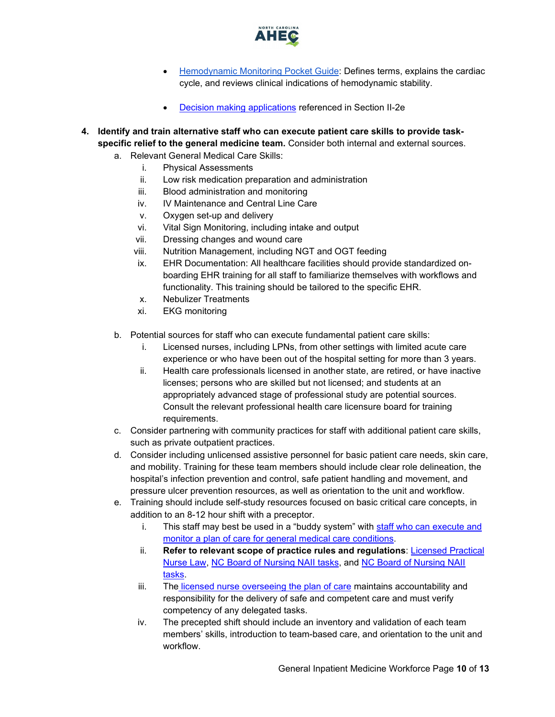

- [Hemodynamic Monitoring Pocket Guide:](https://www.nursingcenter.com/clinical-resources/nursing-pocket-cards/hemodynamic-monitoring) Defines terms, explains the cardiac cycle, and reviews clinical indications of hemodynamic stability.
- [Decision making applications](#page-6-1) referenced in Section II-2e
- <span id="page-9-0"></span>**4. Identify and train alternative staff who can execute patient care skills to provide taskspecific relief to the general medicine team.** Consider both internal and external sources.
	- a. Relevant General Medical Care Skills:
		- i. Physical Assessments
		- ii. Low risk medication preparation and administration
		- iii. Blood administration and monitoring
		- iv. IV Maintenance and Central Line Care
		- v. Oxygen set-up and delivery
		- vi. Vital Sign Monitoring, including intake and output
		- vii. Dressing changes and wound care
		- viii. Nutrition Management, including NGT and OGT feeding
		- ix. EHR Documentation: All healthcare facilities should provide standardized onboarding EHR training for all staff to familiarize themselves with workflows and functionality. This training should be tailored to the specific EHR.
		- x. Nebulizer Treatments
		- xi. EKG monitoring
	- b. Potential sources for staff who can execute fundamental patient care skills:
		- i. Licensed nurses, including LPNs, from other settings with limited acute care experience or who have been out of the hospital setting for more than 3 years.
		- ii. Health care professionals licensed in another state, are retired, or have inactive licenses; persons who are skilled but not licensed; and students at an appropriately advanced stage of professional study are potential sources. Consult the relevant professional health care licensure board for training requirements.
	- c. Consider partnering with community practices for staff with additional patient care skills, such as private outpatient practices.
	- d. Consider including unlicensed assistive personnel for basic patient care needs, skin care, and mobility. Training for these team members should include clear role delineation, the hospital's infection prevention and control, safe patient handling and movement, and pressure ulcer prevention resources, as well as orientation to the unit and workflow.
	- e. Training should include self-study resources focused on basic critical care concepts, in addition to an 8-12 hour shift with a preceptor.
		- i. This staff may best be used in a "buddy system" with staff who can execute and [monitor a plan of care for general medical care conditions.](#page-7-0)
		- ii. **Refer to relevant scope of practice rules and regulations**: [Licensed Practical](https://www4.ncleg.net/enactedlegislation/statutes/html/bysection/chapter_90/gs_90-171.20.html)  [Nurse Law,](https://www4.ncleg.net/enactedlegislation/statutes/html/bysection/chapter_90/gs_90-171.20.html) [NC Board of Nursing NAII tasks,](https://www.ncbon.com/practice-nurse-aides-nurse-aide-ii-tasks) and [NC Board of Nursing NAII](https://www.ncbon.com/practice-nurse-aides-nurse-aide-ii-tasks)  [tasks.](https://www.ncbon.com/practice-nurse-aides-nurse-aide-ii-tasks)
		- iii. The [licensed nurse overseeing the plan of care](#page-5-0) maintains accountability and responsibility for the delivery of safe and competent care and must verify competency of any delegated tasks.
		- iv. The precepted shift should include an inventory and validation of each team members' skills, introduction to team-based care, and orientation to the unit and workflow.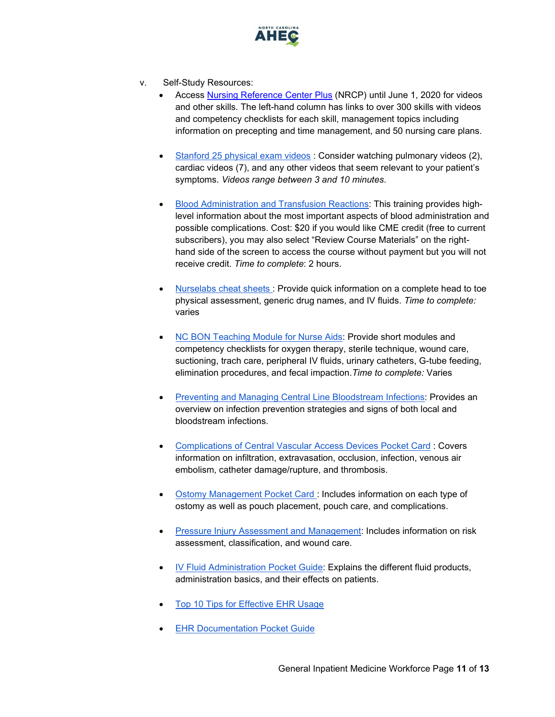

- v. Self-Study Resources:
	- [Access Nursing Reference Center Plus](http://web.b.ebscohost.com/web/nup/home/index/all) (NRCP) until June 1, 2020 for videos and other skills. The left-hand column has links to over 300 skills with videos and competency checklists for each skill, management topics including information on precepting and time management, and 50 nursing care plans.
	- [Stanford 25 physical exam videos](https://stanfordmedicine25.stanford.edu/videos.html) : Consider watching pulmonary videos (2), cardiac videos (7), and any other videos that seem relevant to your patient's symptoms. *Videos range between 3 and 10 minutes.*
	- [Blood Administration and Transfusion Reactions:](https://www.rn.com/nursing-education/course-details/?course_id=2254) This training provides highlevel information about the most important aspects of blood administration and possible complications. Cost: \$20 if you would like CME credit (free to current subscribers), you may also select "Review Course Materials" on the righthand side of the screen to access the course without payment but you will not receive credit. *Time to complete*: 2 hours.
	- [Nurselabs cheat sheets :](https://nurseslabs.com/tag/cheat-sheets/) Provide quick information on a complete head to toe physical assessment, generic drug names, and IV fluids. *Time to complete:* varies
	- [NC BON Teaching Module for Nurse Aids:](https://www.ncbon.com/education-unlicensed-assistive-personnel-teaching-modules-for-nurse-aide-ii-tasks) Provide short modules and competency checklists for oxygen therapy, sterile technique, wound care, suctioning, trach care, peripheral IV fluids, urinary catheters, G-tube feeding, elimination procedures, and fecal impaction.*Time to complete:* Varies
	- [Preventing and Managing Central Line Bloodstream Infections:](https://www.nursingcenter.com/clinical-resources/nursing-pocket-cards/preventing-and-managing-central-line-related-blood) Provides an overview on infection prevention strategies and signs of both local and bloodstream infections.
	- [Complications of Central Vascular Access Devices Pocket Card](https://www.nursingcenter.com/clinical-resources/nursing-pocket-cards/complications-of-central-vascular-access-devices) : Covers information on infiltration, extravasation, occlusion, infection, venous air embolism, catheter damage/rupture, and thrombosis.
	- [Ostomy Management Pocket Card :](https://www.nursingcenter.com/clinical-resources/nursing-pocket-cards/ostomy-management) Includes information on each type of ostomy as well as pouch placement, pouch care, and complications.
	- [Pressure Injury Assessment and Management:](https://www.nursingcenter.com/clinical-resources/nursing-pocket-cards/pressure-injury-assessment-and-management) Includes information on risk assessment, classification, and wound care.
	- [IV Fluid Administration Pocket Guide:](https://www.nursingcenter.com/clinical-resources/nursing-pocket-cards/iv-fluids) Explains the different fluid products, administration basics, and their effects on patients.
	- [Top 10 Tips for Effective EHR Usage](https://www.ncbi.nlm.nih.gov/pmc/articles/PMC3959973/)
	- **[EHR Documentation Pocket Guide](https://www.nursingcenter.com/clinical-resources/nursing-pocket-cards/nursing-documentation)**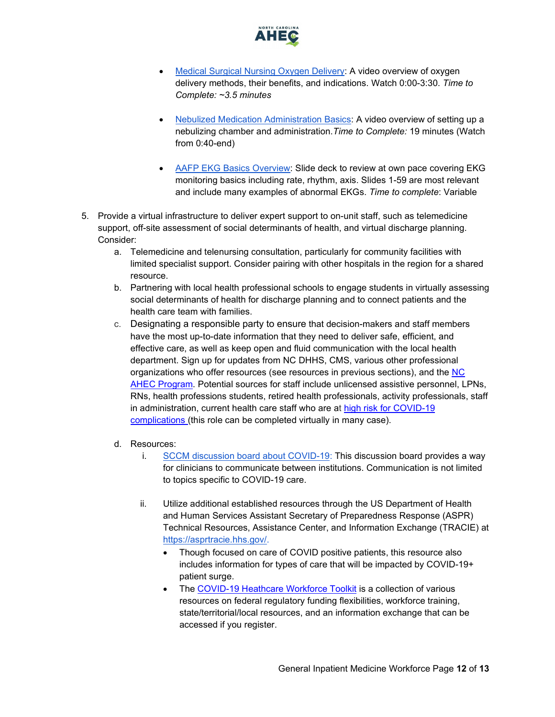

- [Medical Surgical Nursing Oxygen Delivery:](https://www.youtube.com/watch?v=TwIc7q7gBK4) A video overview of oxygen delivery methods, their benefits, and indications. Watch 0:00-3:30. *Time to Complete: ~3.5 minutes*
- [Nebulized Medication Administration Basics:](https://www.youtube.com/watch?v=ckwHswmzuO8) A video overview of setting up a nebulizing chamber and administration.*Time to Complete:* 19 minutes (Watch from 0:40-end)
- [AAFP EKG Basics Overview:](https://www.aafp.org/dam/AAFP/documents/events/fmx/handouts/fmx18-412.pdf) Slide deck to review at own pace covering EKG monitoring basics including rate, rhythm, axis. Slides 1-59 are most relevant and include many examples of abnormal EKGs. *Time to complete*: Variable
- <span id="page-11-0"></span>5. Provide a virtual infrastructure to deliver expert support to on-unit staff, such as telemedicine support, off-site assessment of social determinants of health, and virtual discharge planning. Consider:
	- a. Telemedicine and telenursing consultation, particularly for community facilities with limited specialist support. Consider pairing with other hospitals in the region for a shared resource.
	- b. Partnering with local health professional schools to engage students in virtually assessing social determinants of health for discharge planning and to connect patients and the health care team with families.
	- c. Designating a responsible party to ensure that decision-makers and staff members have the most up-to-date information that they need to deliver safe, efficient, and effective care, as well as keep open and fluid communication with the local health department. Sign up for updates from NC DHHS, CMS, various other professional organizations who offer resources (see resources in previous sections), and the [NC](https://www.ncahec.net/covid-19/webinars/)  [AHEC Program.](https://www.ncahec.net/covid-19/webinars/) Potential sources for staff include unlicensed assistive personnel, LPNs, RNs, health professions students, retired health professionals, activity professionals, staff in administration, current health care staff who are at [high risk for COVID-19](https://www.cdc.gov/coronavirus/2019-ncov/need-extra-precautions/people-at-higher-risk.html)  [complications \(](https://www.cdc.gov/coronavirus/2019-ncov/need-extra-precautions/people-at-higher-risk.html)this role can be completed virtually in many case).
	- d. Resources:
		- i. [SCCM discussion board about COVID-19:](https://community.sccm.org/) This discussion board provides a way for clinicians to communicate between institutions. Communication is not limited to topics specific to COVID-19 care.
		- ii. Utilize additional established resources through the US Department of Health and Human Services Assistant Secretary of Preparedness Response (ASPR) Technical Resources, Assistance Center, and Information Exchange (TRACIE) at [https://asprtracie.hhs.gov/.](https://asprtracie.hhs.gov/)
			- Though focused on care of COVID positive patients, this resource also includes information for types of care that will be impacted by COVID-19+ patient surge.
			- The [COVID-19 Heathcare Workforce Toolkit](https://asprtracie.hhs.gov/Workforce-Virtual-Toolkit) is a collection of various resources on federal regulatory funding flexibilities, workforce training, state/territorial/local resources, and an information exchange that can be accessed if you register.